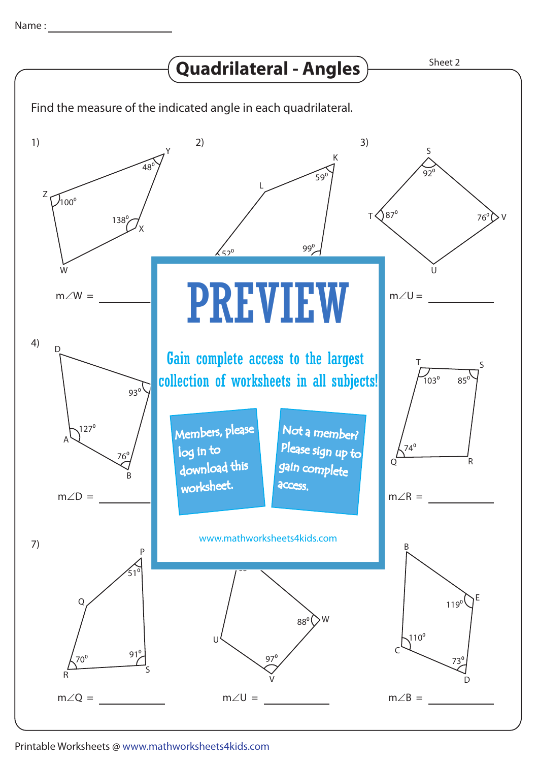